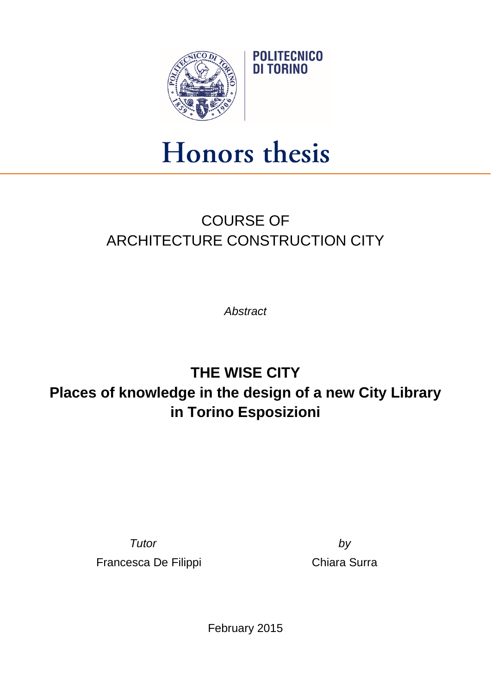

## Honors thesis

## COURSE OF ARCHITECTURE CONSTRUCTION CITY

*Abstract*

## **THE WISE CITY Places of knowledge in the design of a new City Library in Torino Esposizioni**

*Tutor by* Francesca De Filippi **Chiara Surra** 

February 2015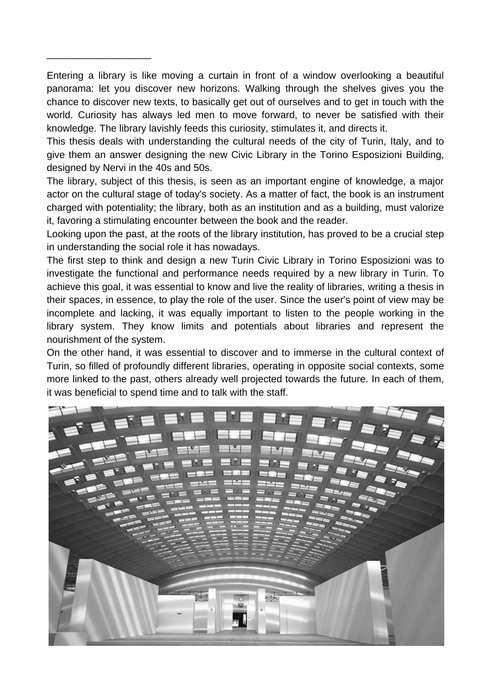Entering a library is like moving a curtain in front of a window overlooking a beautiful panorama: let you discover new horizons. Walking through the shelves gives you the chance to discover new texts, to basically get out of ourselves and to get in touch with the world. Curiosity has always led men to move forward, to never be satisfied with their knowledge. The library lavishly feeds this curiosity, stimulates it, and directs it.

\_\_\_\_\_\_\_\_\_\_\_\_\_\_\_\_\_\_\_

This thesis deals with understanding the cultural needs of the city of Turin, Italy, and to give them an answer designing the new Civic Library in the Torino Esposizioni Building, designed by Nervi in the 40s and 50s.

The library, subject of this thesis, is seen as an important engine of knowledge, a major actor on the cultural stage of today's society. As a matter of fact, the book is an instrument charged with potentiality; the library, both as an institution and as a building, must valorize it, favoring a stimulating encounter between the book and the reader.

Looking upon the past, at the roots of the library institution, has proved to be a crucial step in understanding the social role it has nowadays.

The first step to think and design a new Turin Civic Library in Torino Esposizioni was to investigate the functional and performance needs required by a new library in Turin. To achieve this goal, it was essential to know and live the reality of libraries, writing a thesis in their spaces, in essence, to play the role of the user. Since the user's point of view may be incomplete and lacking, it was equally important to listen to the people working in the library system. They know limits and potentials about libraries and represent the nourishment of the system.

On the other hand, it was essential to discover and to immerse in the cultural context of Turin, so filled of profoundly different libraries, operating in opposite social contexts, some more linked to the past, others already well projected towards the future. In each of them, it was beneficial to spend time and to talk with the staff.

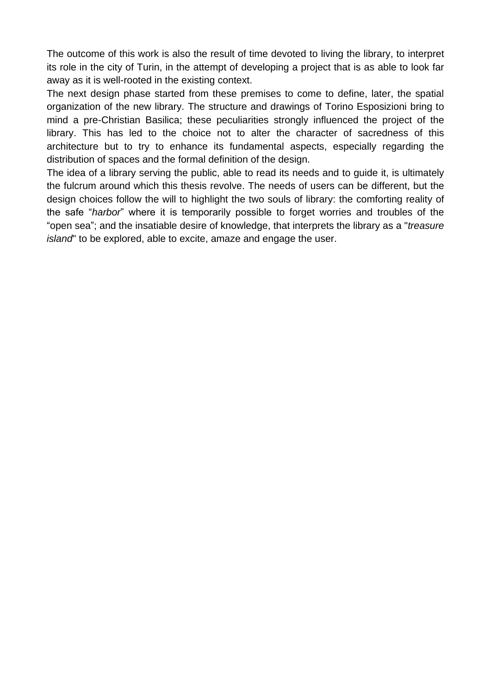The outcome of this work is also the result of time devoted to living the library, to interpret its role in the city of Turin, in the attempt of developing a project that is as able to look far away as it is well-rooted in the existing context.

The next design phase started from these premises to come to define, later, the spatial organization of the new library. The structure and drawings of Torino Esposizioni bring to mind a pre-Christian Basilica; these peculiarities strongly influenced the project of the library. This has led to the choice not to alter the character of sacredness of this architecture but to try to enhance its fundamental aspects, especially regarding the distribution of spaces and the formal definition of the design.

The idea of a library serving the public, able to read its needs and to guide it, is ultimately the fulcrum around which this thesis revolve. The needs of users can be different, but the design choices follow the will to highlight the two souls of library: the comforting reality of the safe "*harbor*" where it is temporarily possible to forget worries and troubles of the "open sea"; and the insatiable desire of knowledge, that interprets the library as a "*treasure island*" to be explored, able to excite, amaze and engage the user.